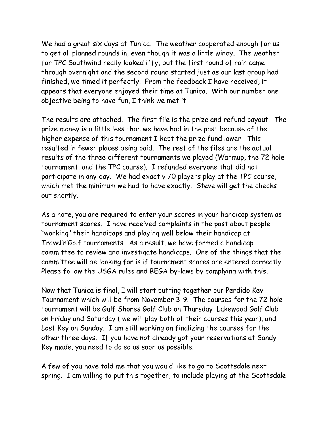We had a great six days at Tunica. The weather cooperated enough for us to get all planned rounds in, even though it was a little windy. The weather for TPC Southwind really looked iffy, but the first round of rain came through overnight and the second round started just as our last group had finished, we timed it perfectly. From the feedback I have received, it appears that everyone enjoyed their time at Tunica. With our number one objective being to have fun, I think we met it.

The results are attached. The first file is the prize and refund payout. The prize money is a little less than we have had in the past because of the higher expense of this tournament I kept the prize fund lower. This resulted in fewer places being paid. The rest of the files are the actual results of the three different tournaments we played (Warmup, the 72 hole tournament, and the TPC course). I refunded everyone that did not participate in any day. We had exactly 70 players play at the TPC course, which met the minimum we had to have exactly. Steve will get the checks out shortly.

As a note, you are required to enter your scores in your handicap system as tournament scores. I have received complaints in the past about people "working" their handicaps and playing well below their handicap at Travel'n'Golf tournaments. As a result, we have formed a handicap committee to review and investigate handicaps. One of the things that the committee will be looking for is if tournament scores are entered correctly. Please follow the USGA rules and BEGA by-laws by complying with this.

Now that Tunica is final, I will start putting together our Perdido Key Tournament which will be from November 3-9. The courses for the 72 hole tournament will be Gulf Shores Golf Club on Thursday, Lakewood Golf Club on Friday and Saturday ( we will play both of their courses this year), and Lost Key on Sunday. I am still working on finalizing the courses for the other three days. If you have not already got your reservations at Sandy Key made, you need to do so as soon as possible.

A few of you have told me that you would like to go to Scottsdale next spring. I am willing to put this together, to include playing at the Scottsdale